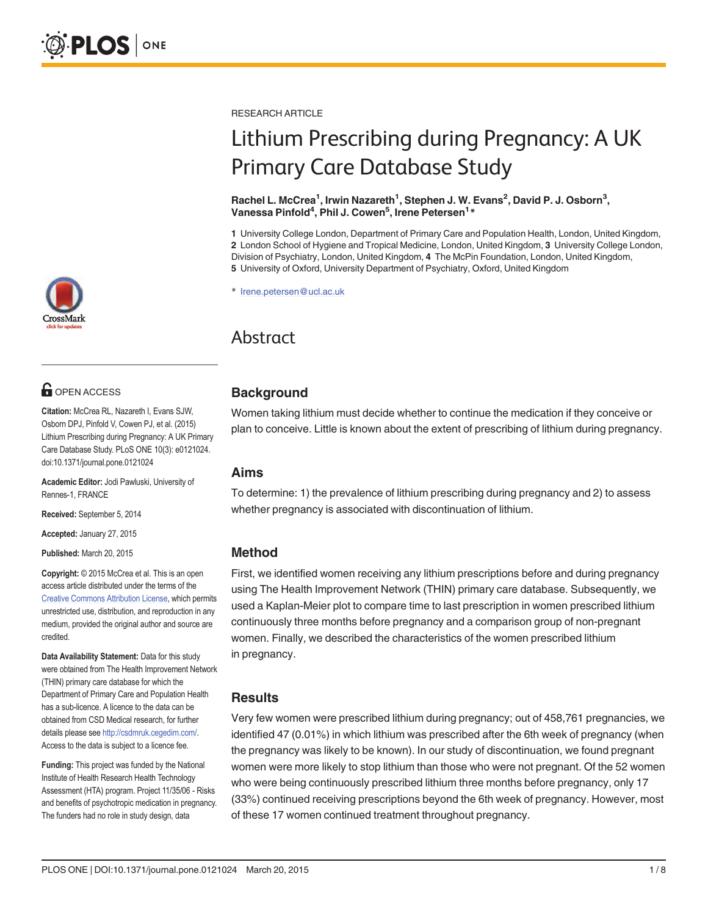## **OPEN ACCESS**

Citation: McCrea RL, Nazareth I, Evans SJW, Osborn DPJ, Pinfold V, Cowen PJ, et al. (2015) Lithium Prescribing during Pregnancy: A UK Primary Care Database Study. PLoS ONE 10(3): e0121024. doi:10.1371/journal.pone.0121024

Academic Editor: Jodi Pawluski, University of Rennes-1, FRANCE

Received: September 5, 2014

Accepted: January 27, 2015

Published: March 20, 2015

Copyright: © 2015 McCrea et al. This is an open access article distributed under the terms of the [Creative Commons Attribution License,](http://creativecommons.org/licenses/by/4.0/) which permits unrestricted use, distribution, and reproduction in any medium, provided the original author and source are credited.

Data Availability Statement: Data for this study were obtained from The Health Improvement Network (THIN) primary care database for which the Department of Primary Care and Population Health has a sub-licence. A licence to the data can be obtained from CSD Medical research, for further details please see <http://csdmruk.cegedim.com/>. Access to the data is subject to a licence fee.

Funding: This project was funded by the National Institute of Health Research Health Technology Assessment (HTA) program. Project 11/35/06 - Risks and benefits of psychotropic medication in pregnancy. The funders had no role in study design, data

RESEARCH ARTICLE

# Lithium Prescribing during Pregnancy: A UK Primary Care Database Study

#### Rachel L. McCrea<sup>1</sup>, Irwin Nazareth<sup>1</sup>, Stephen J. W. Evans<sup>2</sup>, David P. J. Osborn<sup>3</sup>, Vanessa Pinfold<sup>4</sup>, Phil J. Cowen<sup>5</sup>, Irene Petersen<sup>1</sup>\*

 University College London, Department of Primary Care and Population Health, London, United Kingdom, London School of Hygiene and Tropical Medicine, London, United Kingdom, 3 University College London, Division of Psychiatry, London, United Kingdom, 4 The McPin Foundation, London, United Kingdom, University of Oxford, University Department of Psychiatry, Oxford, United Kingdom

\* Irene.petersen@ucl.ac.uk

# Abstract

## **Background**

Women taking lithium must decide whether to continue the medication if they conceive or plan to conceive. Little is known about the extent of prescribing of lithium during pregnancy.

## Aims

To determine: 1) the prevalence of lithium prescribing during pregnancy and 2) to assess whether pregnancy is associated with discontinuation of lithium.

## Method

First, we identified women receiving any lithium prescriptions before and during pregnancy using The Health Improvement Network (THIN) primary care database. Subsequently, we used a Kaplan-Meier plot to compare time to last prescription in women prescribed lithium continuously three months before pregnancy and a comparison group of non-pregnant women. Finally, we described the characteristics of the women prescribed lithium in pregnancy.

## Results

Very few women were prescribed lithium during pregnancy; out of 458,761 pregnancies, we identified 47 (0.01%) in which lithium was prescribed after the 6th week of pregnancy (when the pregnancy was likely to be known). In our study of discontinuation, we found pregnant women were more likely to stop lithium than those who were not pregnant. Of the 52 women who were being continuously prescribed lithium three months before pregnancy, only 17 (33%) continued receiving prescriptions beyond the 6th week of pregnancy. However, most of these 17 women continued treatment throughout pregnancy.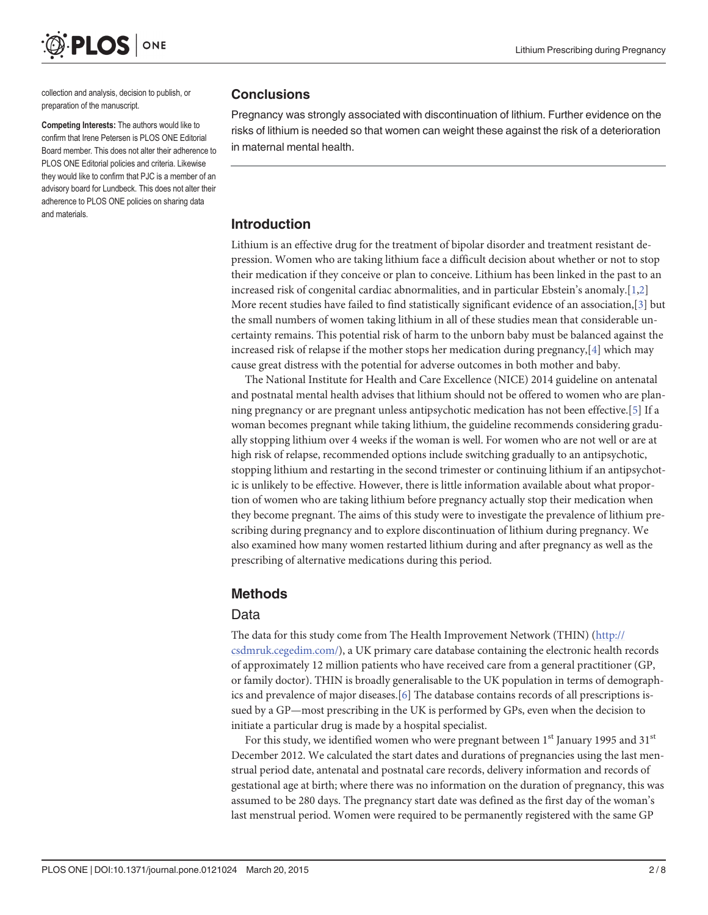<span id="page-1-0"></span>

collection and analysis, decision to publish, or preparation of the manuscript.

Competing Interests: The authors would like to confirm that Irene Petersen is PLOS ONE Editorial Board member. This does not alter their adherence to PLOS ONE Editorial policies and criteria. Likewise they would like to confirm that PJC is a member of an advisory board for Lundbeck. This does not alter their adherence to PLOS ONE policies on sharing data and materials.

## **Conclusions**

Pregnancy was strongly associated with discontinuation of lithium. Further evidence on the risks of lithium is needed so that women can weight these against the risk of a deterioration in maternal mental health.

## Introduction

Lithium is an effective drug for the treatment of bipolar disorder and treatment resistant depression. Women who are taking lithium face a difficult decision about whether or not to stop their medication if they conceive or plan to conceive. Lithium has been linked in the past to an increased risk of congenital cardiac abnormalities, and in particular Ebstein's anomaly.[[1,2\]](#page-6-0) More recent studies have failed to find statistically significant evidence of an association,[[3\]](#page-6-0) but the small numbers of women taking lithium in all of these studies mean that considerable uncertainty remains. This potential risk of harm to the unborn baby must be balanced against the increased risk of relapse if the mother stops her medication during pregnancy, $[4]$  $[4]$  which may cause great distress with the potential for adverse outcomes in both mother and baby.

The National Institute for Health and Care Excellence (NICE) 2014 guideline on antenatal and postnatal mental health advises that lithium should not be offered to women who are planning pregnancy or are pregnant unless antipsychotic medication has not been effective.[[5\]](#page-6-0) If a woman becomes pregnant while taking lithium, the guideline recommends considering gradually stopping lithium over 4 weeks if the woman is well. For women who are not well or are at high risk of relapse, recommended options include switching gradually to an antipsychotic, stopping lithium and restarting in the second trimester or continuing lithium if an antipsychotic is unlikely to be effective. However, there is little information available about what proportion of women who are taking lithium before pregnancy actually stop their medication when they become pregnant. The aims of this study were to investigate the prevalence of lithium prescribing during pregnancy and to explore discontinuation of lithium during pregnancy. We also examined how many women restarted lithium during and after pregnancy as well as the prescribing of alternative medications during this period.

## Methods

## Data

The data for this study come from The Health Improvement Network (THIN) [\(http://](http://csdmruk.cegedim.com/) [csdmruk.cegedim.com/\)](http://csdmruk.cegedim.com/), a UK primary care database containing the electronic health records of approximately 12 million patients who have received care from a general practitioner (GP, or family doctor). THIN is broadly generalisable to the UK population in terms of demographics and prevalence of major diseases.[[6](#page-7-0)] The database contains records of all prescriptions issued by a GP—most prescribing in the UK is performed by GPs, even when the decision to initiate a particular drug is made by a hospital specialist.

For this study, we identified women who were pregnant between  $1<sup>st</sup>$  January 1995 and 31<sup>st</sup> December 2012. We calculated the start dates and durations of pregnancies using the last menstrual period date, antenatal and postnatal care records, delivery information and records of gestational age at birth; where there was no information on the duration of pregnancy, this was assumed to be 280 days. The pregnancy start date was defined as the first day of the woman's last menstrual period. Women were required to be permanently registered with the same GP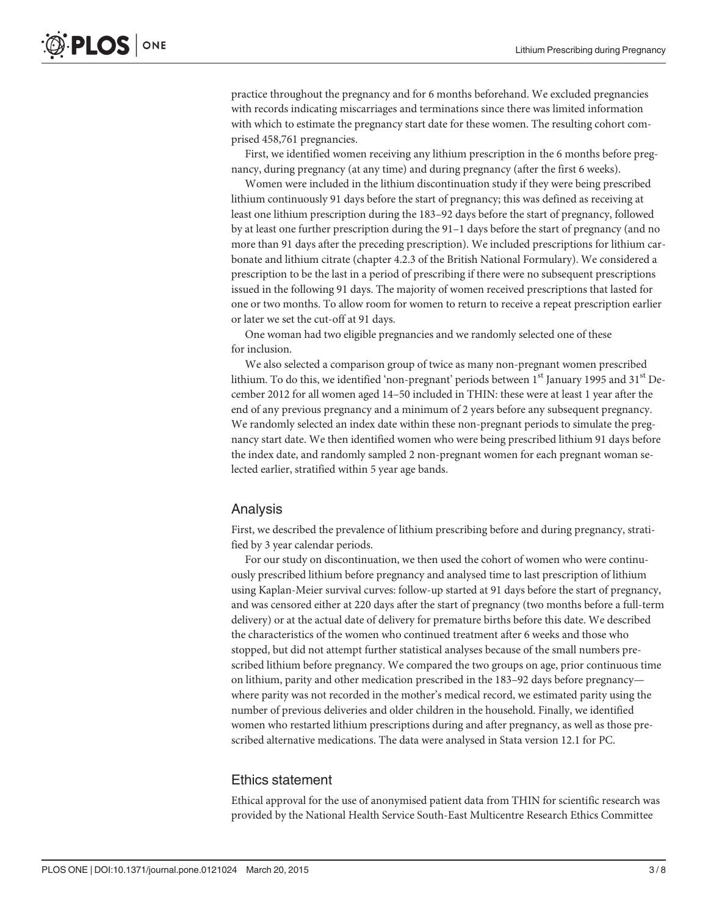practice throughout the pregnancy and for 6 months beforehand. We excluded pregnancies with records indicating miscarriages and terminations since there was limited information with which to estimate the pregnancy start date for these women. The resulting cohort comprised 458,761 pregnancies.

First, we identified women receiving any lithium prescription in the 6 months before pregnancy, during pregnancy (at any time) and during pregnancy (after the first 6 weeks).

Women were included in the lithium discontinuation study if they were being prescribed lithium continuously 91 days before the start of pregnancy; this was defined as receiving at least one lithium prescription during the 183–92 days before the start of pregnancy, followed by at least one further prescription during the 91–1 days before the start of pregnancy (and no more than 91 days after the preceding prescription). We included prescriptions for lithium carbonate and lithium citrate (chapter 4.2.3 of the British National Formulary). We considered a prescription to be the last in a period of prescribing if there were no subsequent prescriptions issued in the following 91 days. The majority of women received prescriptions that lasted for one or two months. To allow room for women to return to receive a repeat prescription earlier or later we set the cut-off at 91 days.

One woman had two eligible pregnancies and we randomly selected one of these for inclusion.

We also selected a comparison group of twice as many non-pregnant women prescribed lithium. To do this, we identified 'non-pregnant' periods between  $1<sup>st</sup>$  January 1995 and  $31<sup>st</sup>$  December 2012 for all women aged 14–50 included in THIN: these were at least 1 year after the end of any previous pregnancy and a minimum of 2 years before any subsequent pregnancy. We randomly selected an index date within these non-pregnant periods to simulate the pregnancy start date. We then identified women who were being prescribed lithium 91 days before the index date, and randomly sampled 2 non-pregnant women for each pregnant woman selected earlier, stratified within 5 year age bands.

#### Analysis

First, we described the prevalence of lithium prescribing before and during pregnancy, stratified by 3 year calendar periods.

For our study on discontinuation, we then used the cohort of women who were continuously prescribed lithium before pregnancy and analysed time to last prescription of lithium using Kaplan-Meier survival curves: follow-up started at 91 days before the start of pregnancy, and was censored either at 220 days after the start of pregnancy (two months before a full-term delivery) or at the actual date of delivery for premature births before this date. We described the characteristics of the women who continued treatment after 6 weeks and those who stopped, but did not attempt further statistical analyses because of the small numbers prescribed lithium before pregnancy. We compared the two groups on age, prior continuous time on lithium, parity and other medication prescribed in the 183–92 days before pregnancy where parity was not recorded in the mother's medical record, we estimated parity using the number of previous deliveries and older children in the household. Finally, we identified women who restarted lithium prescriptions during and after pregnancy, as well as those prescribed alternative medications. The data were analysed in Stata version 12.1 for PC.

#### Ethics statement

Ethical approval for the use of anonymised patient data from THIN for scientific research was provided by the National Health Service South-East Multicentre Research Ethics Committee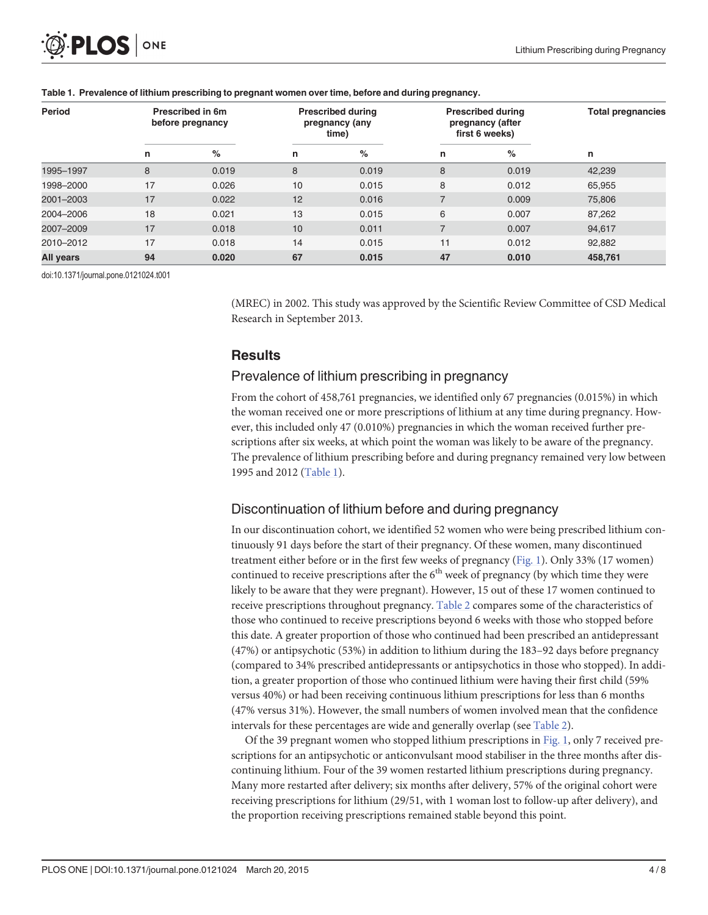| <b>Period</b> | Prescribed in 6m<br>before pregnancy |       | <b>Prescribed during</b><br>pregnancy (any<br>time) |       | <b>Prescribed during</b><br>pregnancy (after<br>first 6 weeks) |       | <b>Total pregnancies</b> |  |
|---------------|--------------------------------------|-------|-----------------------------------------------------|-------|----------------------------------------------------------------|-------|--------------------------|--|
|               | n                                    | %     | n                                                   | %     | n                                                              | %     | n                        |  |
| 1995-1997     | 8                                    | 0.019 | 8                                                   | 0.019 | 8                                                              | 0.019 | 42,239                   |  |
| 1998-2000     | 17                                   | 0.026 | 10                                                  | 0.015 | 8                                                              | 0.012 | 65,955                   |  |
| 2001-2003     | 17                                   | 0.022 | 12                                                  | 0.016 |                                                                | 0.009 | 75,806                   |  |
| 2004-2006     | 18                                   | 0.021 | 13                                                  | 0.015 | 6                                                              | 0.007 | 87,262                   |  |
| 2007-2009     | 17                                   | 0.018 | 10                                                  | 0.011 |                                                                | 0.007 | 94,617                   |  |
| 2010-2012     | 17                                   | 0.018 | 14                                                  | 0.015 | 11                                                             | 0.012 | 92,882                   |  |
| All years     | 94                                   | 0.020 | 67                                                  | 0.015 | 47                                                             | 0.010 | 458,761                  |  |

#### <span id="page-3-0"></span>Table 1. Prevalence of lithium prescribing to pregnant women over time, before and during pregnancy.

doi:10.1371/journal.pone.0121024.t001

(MREC) in 2002. This study was approved by the Scientific Review Committee of CSD Medical Research in September 2013.

## **Results**

#### Prevalence of lithium prescribing in pregnancy

From the cohort of 458,761 pregnancies, we identified only 67 pregnancies (0.015%) in which the woman received one or more prescriptions of lithium at any time during pregnancy. However, this included only 47 (0.010%) pregnancies in which the woman received further prescriptions after six weeks, at which point the woman was likely to be aware of the pregnancy. The prevalence of lithium prescribing before and during pregnancy remained very low between 1995 and 2012 (Table 1).

## Discontinuation of lithium before and during pregnancy

In our discontinuation cohort, we identified 52 women who were being prescribed lithium continuously 91 days before the start of their pregnancy. Of these women, many discontinued treatment either before or in the first few weeks of pregnancy ([Fig. 1](#page-4-0)). Only 33% (17 women) continued to receive prescriptions after the  $6<sup>th</sup>$  week of pregnancy (by which time they were likely to be aware that they were pregnant). However, 15 out of these 17 women continued to receive prescriptions throughout pregnancy. [Table 2](#page-5-0) compares some of the characteristics of those who continued to receive prescriptions beyond 6 weeks with those who stopped before this date. A greater proportion of those who continued had been prescribed an antidepressant (47%) or antipsychotic (53%) in addition to lithium during the 183–92 days before pregnancy (compared to 34% prescribed antidepressants or antipsychotics in those who stopped). In addition, a greater proportion of those who continued lithium were having their first child (59% versus 40%) or had been receiving continuous lithium prescriptions for less than 6 months (47% versus 31%). However, the small numbers of women involved mean that the confidence intervals for these percentages are wide and generally overlap (see [Table 2\)](#page-5-0).

Of the 39 pregnant women who stopped lithium prescriptions in [Fig. 1](#page-4-0), only 7 received prescriptions for an antipsychotic or anticonvulsant mood stabiliser in the three months after discontinuing lithium. Four of the 39 women restarted lithium prescriptions during pregnancy. Many more restarted after delivery; six months after delivery, 57% of the original cohort were receiving prescriptions for lithium (29/51, with 1 woman lost to follow-up after delivery), and the proportion receiving prescriptions remained stable beyond this point.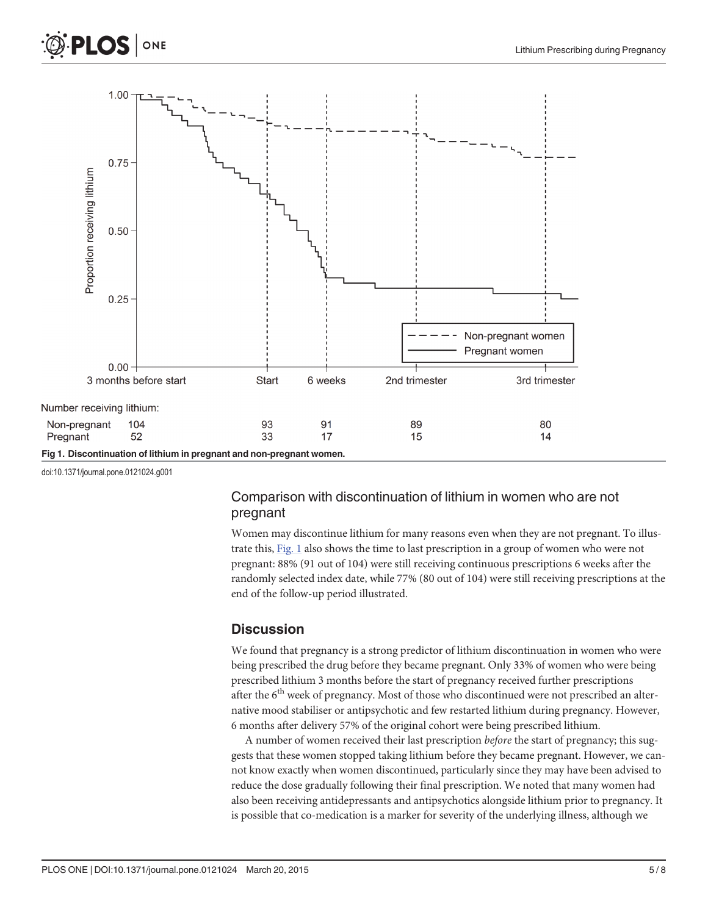<span id="page-4-0"></span>



doi:10.1371/journal.pone.0121024.g001

## Comparison with discontinuation of lithium in women who are not pregnant

Women may discontinue lithium for many reasons even when they are not pregnant. To illustrate this, Fig. 1 also shows the time to last prescription in a group of women who were not pregnant: 88% (91 out of 104) were still receiving continuous prescriptions 6 weeks after the randomly selected index date, while 77% (80 out of 104) were still receiving prescriptions at the end of the follow-up period illustrated.

## **Discussion**

We found that pregnancy is a strong predictor of lithium discontinuation in women who were being prescribed the drug before they became pregnant. Only 33% of women who were being prescribed lithium 3 months before the start of pregnancy received further prescriptions after the  $6<sup>th</sup>$  week of pregnancy. Most of those who discontinued were not prescribed an alternative mood stabiliser or antipsychotic and few restarted lithium during pregnancy. However, 6 months after delivery 57% of the original cohort were being prescribed lithium.

A number of women received their last prescription *before* the start of pregnancy; this suggests that these women stopped taking lithium before they became pregnant. However, we cannot know exactly when women discontinued, particularly since they may have been advised to reduce the dose gradually following their final prescription. We noted that many women had also been receiving antidepressants and antipsychotics alongside lithium prior to pregnancy. It is possible that co-medication is a marker for severity of the underlying illness, although we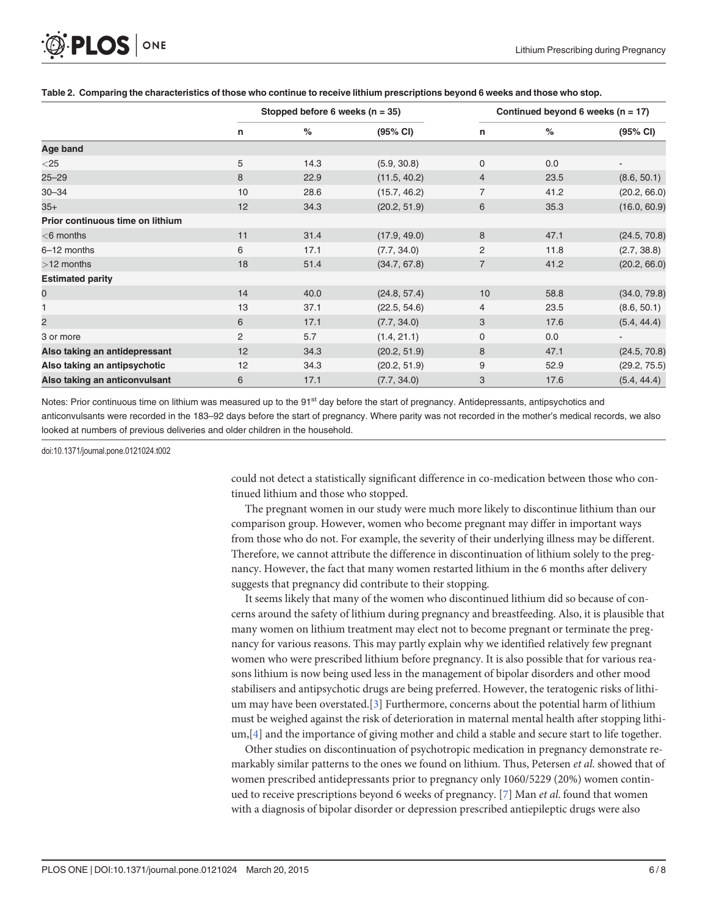<span id="page-5-0"></span>

|                                  | Stopped before 6 weeks ( $n = 35$ ) |      |              | Continued beyond 6 weeks ( $n = 17$ ) |      |              |  |
|----------------------------------|-------------------------------------|------|--------------|---------------------------------------|------|--------------|--|
|                                  | n                                   | %    | (95% CI)     | n                                     | $\%$ | (95% CI)     |  |
| Age band                         |                                     |      |              |                                       |      |              |  |
| $<$ 25                           | 5                                   | 14.3 | (5.9, 30.8)  | $\mathbf 0$                           | 0.0  |              |  |
| $25 - 29$                        | 8                                   | 22.9 | (11.5, 40.2) | $\overline{4}$                        | 23.5 | (8.6, 50.1)  |  |
| $30 - 34$                        | 10                                  | 28.6 | (15.7, 46.2) | 7                                     | 41.2 | (20.2, 66.0) |  |
| $35+$                            | 12                                  | 34.3 | (20.2, 51.9) | 6                                     | 35.3 | (16.0, 60.9) |  |
| Prior continuous time on lithium |                                     |      |              |                                       |      |              |  |
| $<$ 6 months                     | 11                                  | 31.4 | (17.9, 49.0) | 8                                     | 47.1 | (24.5, 70.8) |  |
| 6-12 months                      | 6                                   | 17.1 | (7.7, 34.0)  | 2                                     | 11.8 | (2.7, 38.8)  |  |
| $>12$ months                     | 18                                  | 51.4 | (34.7, 67.8) | $\overline{7}$                        | 41.2 | (20.2, 66.0) |  |
| <b>Estimated parity</b>          |                                     |      |              |                                       |      |              |  |
| 0                                | 14                                  | 40.0 | (24.8, 57.4) | 10                                    | 58.8 | (34.0, 79.8) |  |
| 1                                | 13                                  | 37.1 | (22.5, 54.6) | 4                                     | 23.5 | (8.6, 50.1)  |  |
| 2                                | 6                                   | 17.1 | (7.7, 34.0)  | 3                                     | 17.6 | (5.4, 44.4)  |  |
| 3 or more                        | 2                                   | 5.7  | (1.4, 21.1)  | $\mathbf 0$                           | 0.0  |              |  |
| Also taking an antidepressant    | 12                                  | 34.3 | (20.2, 51.9) | 8                                     | 47.1 | (24.5, 70.8) |  |
| Also taking an antipsychotic     | 12                                  | 34.3 | (20.2, 51.9) | 9                                     | 52.9 | (29.2, 75.5) |  |
| Also taking an anticonvulsant    | 6                                   | 17.1 | (7.7, 34.0)  | 3                                     | 17.6 | (5.4, 44.4)  |  |

#### [Table 2.](#page-3-0) Comparing the characteristics of those who continue to receive lithium prescriptions beyond 6 weeks and those who stop.

Notes: Prior continuous time on lithium was measured up to the 91<sup>st</sup> day before the start of pregnancy. Antidepressants, antipsychotics and anticonvulsants were recorded in the 183–92 days before the start of pregnancy. Where parity was not recorded in the mother's medical records, we also looked at numbers of previous deliveries and older children in the household.

doi:10.1371/journal.pone.0121024.t002

could not detect a statistically significant difference in co-medication between those who continued lithium and those who stopped.

The pregnant women in our study were much more likely to discontinue lithium than our comparison group. However, women who become pregnant may differ in important ways from those who do not. For example, the severity of their underlying illness may be different. Therefore, we cannot attribute the difference in discontinuation of lithium solely to the pregnancy. However, the fact that many women restarted lithium in the 6 months after delivery suggests that pregnancy did contribute to their stopping.

It seems likely that many of the women who discontinued lithium did so because of concerns around the safety of lithium during pregnancy and breastfeeding. Also, it is plausible that many women on lithium treatment may elect not to become pregnant or terminate the pregnancy for various reasons. This may partly explain why we identified relatively few pregnant women who were prescribed lithium before pregnancy. It is also possible that for various reasons lithium is now being used less in the management of bipolar disorders and other mood stabilisers and antipsychotic drugs are being preferred. However, the teratogenic risks of lithium may have been overstated.[[3\]](#page-6-0) Furthermore, concerns about the potential harm of lithium must be weighed against the risk of deterioration in maternal mental health after stopping lithi- $um, [4]$  $um, [4]$  and the importance of giving mother and child a stable and secure start to life together.

Other studies on discontinuation of psychotropic medication in pregnancy demonstrate remarkably similar patterns to the ones we found on lithium. Thus, Petersen *et al.* showed that of women prescribed antidepressants prior to pregnancy only 1060/5229 (20%) women contin-ued to receive prescriptions beyond 6 weeks of pregnancy. [[7\]](#page-7-0) Man et al. found that women with a diagnosis of bipolar disorder or depression prescribed antiepileptic drugs were also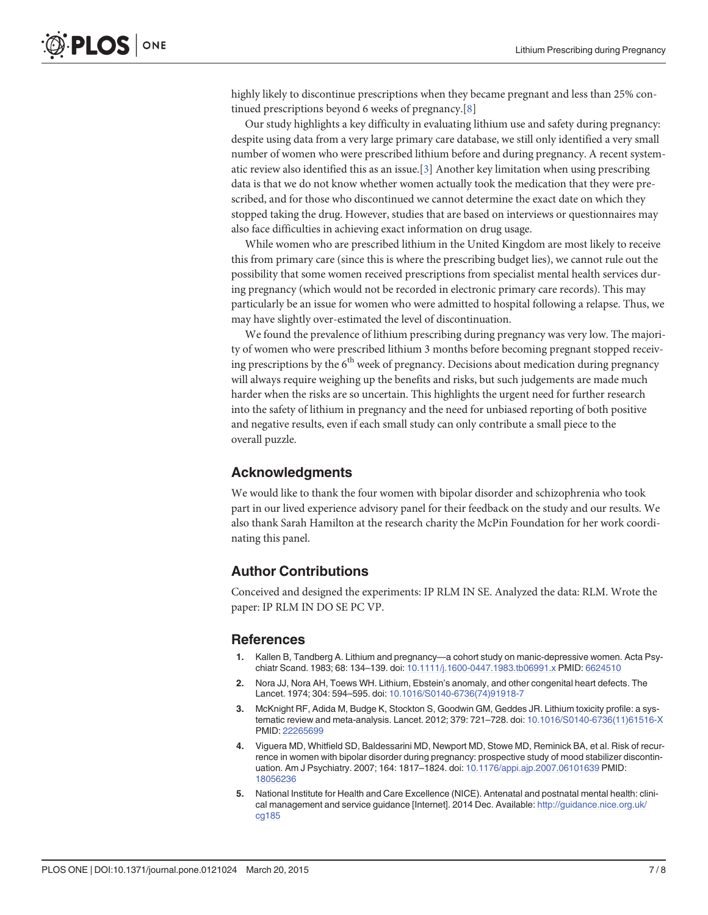<span id="page-6-0"></span>highly likely to discontinue prescriptions when they became pregnant and less than 25% continued prescriptions beyond 6 weeks of pregnancy.[[8\]](#page-7-0)

Our study highlights a key difficulty in evaluating lithium use and safety during pregnancy: despite using data from a very large primary care database, we still only identified a very small number of women who were prescribed lithium before and during pregnancy. A recent systematic review also identified this as an issue.[ $3$ ] Another key limitation when using prescribing data is that we do not know whether women actually took the medication that they were prescribed, and for those who discontinued we cannot determine the exact date on which they stopped taking the drug. However, studies that are based on interviews or questionnaires may also face difficulties in achieving exact information on drug usage.

While women who are prescribed lithium in the United Kingdom are most likely to receive this from primary care (since this is where the prescribing budget lies), we cannot rule out the possibility that some women received prescriptions from specialist mental health services during pregnancy (which would not be recorded in electronic primary care records). This may particularly be an issue for women who were admitted to hospital following a relapse. Thus, we may have slightly over-estimated the level of discontinuation.

We found the prevalence of lithium prescribing during pregnancy was very low. The majority of women who were prescribed lithium 3 months before becoming pregnant stopped receiving prescriptions by the 6<sup>th</sup> week of pregnancy. Decisions about medication during pregnancy will always require weighing up the benefits and risks, but such judgements are made much harder when the risks are so uncertain. This highlights the urgent need for further research into the safety of lithium in pregnancy and the need for unbiased reporting of both positive and negative results, even if each small study can only contribute a small piece to the overall puzzle.

#### Acknowledgments

We would like to thank the four women with bipolar disorder and schizophrenia who took part in our lived experience advisory panel for their feedback on the study and our results. We also thank Sarah Hamilton at the research charity the McPin Foundation for her work coordinating this panel.

## Author Contributions

Conceived and designed the experiments: IP RLM IN SE. Analyzed the data: RLM. Wrote the paper: IP RLM IN DO SE PC VP.

#### References

- [1.](#page-1-0) Kallen B, Tandberg A. Lithium and pregnancy—a cohort study on manic-depressive women. Acta Psychiatr Scand. 1983; 68: 134–139. doi: [10.1111/j.1600-0447.1983.tb06991.x](http://dx.doi.org/10.1111/j.1600-0447.1983.tb06991.x) PMID: [6624510](http://www.ncbi.nlm.nih.gov/pubmed/6624510)
- [2.](#page-1-0) Nora JJ, Nora AH, Toews WH. Lithium, Ebstein's anomaly, and other congenital heart defects. The Lancet. 1974; 304: 594–595. doi: [10.1016/S0140-6736\(74\)91918-7](http://dx.doi.org/10.1016/S0140-6736(74)91918-7)
- [3.](#page-1-0) McKnight RF, Adida M, Budge K, Stockton S, Goodwin GM, Geddes JR. Lithium toxicity profile: a systematic review and meta-analysis. Lancet. 2012; 379: 721–728. doi: [10.1016/S0140-6736\(11\)61516-X](http://dx.doi.org/10.1016/S0140-6736(11)61516-X) PMID: [22265699](http://www.ncbi.nlm.nih.gov/pubmed/22265699)
- [4.](#page-1-0) Viguera MD, Whitfield SD, Baldessarini MD, Newport MD, Stowe MD, Reminick BA, et al. Risk of recurrence in women with bipolar disorder during pregnancy: prospective study of mood stabilizer discontinuation. Am J Psychiatry. 2007; 164: 1817–1824. doi: [10.1176/appi.ajp.2007.06101639](http://dx.doi.org/10.1176/appi.ajp.2007.06101639) PMID: [18056236](http://www.ncbi.nlm.nih.gov/pubmed/18056236)
- [5.](#page-1-0) National Institute for Health and Care Excellence (NICE). Antenatal and postnatal mental health: clinical management and service guidance [Internet]. 2014 Dec. Available: [http://guidance.nice.org.uk/](http://guidance.nice.org.uk/cg185) [cg185](http://guidance.nice.org.uk/cg185)